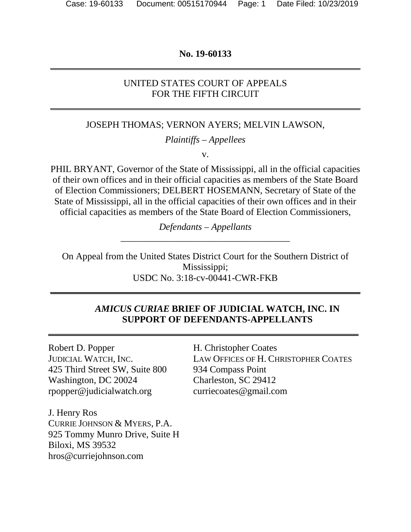## **No. 19-60133 \_\_\_\_\_\_\_\_\_\_\_\_\_\_\_\_\_\_\_\_\_\_\_\_\_\_\_\_\_\_\_\_\_\_\_\_\_\_\_\_\_\_\_\_\_\_\_\_\_\_\_\_\_\_\_\_\_\_\_\_\_\_\_\_\_\_**

## UNITED STATES COURT OF APPEALS FOR THE FIFTH CIRCUIT

**\_\_\_\_\_\_\_\_\_\_\_\_\_\_\_\_\_\_\_\_\_\_\_\_\_\_\_\_\_\_\_\_\_\_\_\_\_\_\_\_\_\_\_\_\_\_\_\_\_\_\_\_\_\_\_\_\_\_\_\_\_\_\_\_\_\_**

#### JOSEPH THOMAS; VERNON AYERS; MELVIN LAWSON,

*Plaintiffs – Appellees*

v.

PHIL BRYANT, Governor of the State of Mississippi, all in the official capacities of their own offices and in their official capacities as members of the State Board of Election Commissioners; DELBERT HOSEMANN, Secretary of State of the State of Mississippi, all in the official capacities of their own offices and in their official capacities as members of the State Board of Election Commissioners,

> *Defendants – Appellants* \_\_\_\_\_\_\_\_\_\_\_\_\_\_\_\_\_\_\_\_\_\_\_\_\_\_\_\_\_\_\_\_\_\_\_\_

On Appeal from the United States District Court for the Southern District of Mississippi; USDC No. 3:18-cv-00441-CWR-FKB

**\_\_\_\_\_\_\_\_\_\_\_\_\_\_\_\_\_\_\_\_\_\_\_\_\_\_\_\_\_\_\_\_\_\_\_\_\_\_\_\_\_\_\_\_\_\_\_\_\_\_\_\_\_\_\_\_\_\_\_\_\_\_\_\_\_\_**

**\_\_\_\_\_\_\_\_\_\_\_\_\_\_\_\_\_\_\_\_\_\_\_\_\_\_\_\_\_\_\_\_\_\_\_\_\_\_\_\_\_\_\_\_\_\_\_\_\_\_\_\_\_\_\_\_\_\_\_\_\_\_\_\_\_\_**

### *AMICUS CURIAE* **BRIEF OF JUDICIAL WATCH, INC. IN SUPPORT OF DEFENDANTS-APPELLANTS**

Robert D. Popper H. Christopher Coates 425 Third Street SW, Suite 800 934 Compass Point Washington, DC 20024 Charleston, SC 29412 rpopper@judicialwatch.org curriecoates@gmail.com

J. Henry Ros CURRIE JOHNSON & MYERS, P.A. 925 Tommy Munro Drive, Suite H Biloxi, MS 39532 hros@curriejohnson.com

JUDICIAL WATCH, INC. LAW OFFICES OF H. CHRISTOPHER COATES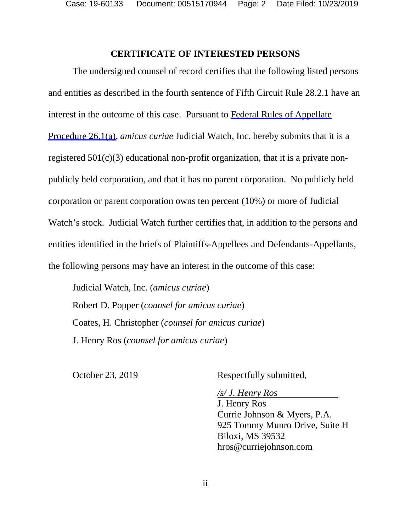Case: 19-60133 Document: 00515170944 Page: 2 Date Filed: 10/23/2019

#### **CERTIFICATE OF INTERESTED PERSONS**

The undersigned counsel of record certifies that the following listed persons and entities as described in the fourth sentence of Fifth Circuit Rule 28.2.1 have an interest in the outcome of this case. Pursuant to Federal Rules of Appellate Procedure 26.1(a), *amicus curiae* Judicial Watch, Inc. hereby submits that it is a registered  $501(c)(3)$  educational non-profit organization, that it is a private nonpublicly held corporation, and that it has no parent corporation. No publicly held corporation or parent corporation owns ten percent (10%) or more of Judicial Watch's stock. Judicial Watch further certifies that, in addition to the persons and entities identified in the briefs of Plaintiffs-Appellees and Defendants-Appellants, the following persons may have an interest in the outcome of this case:

Judicial Watch, Inc. (*amicus curiae*) Robert D. Popper (*counsel for amicus curiae*) Coates, H. Christopher (*counsel for amicus curiae*) J. Henry Ros (*counsel for amicus curiae*)

October 23, 2019 Respectfully submitted,

*/s/ J. Henry Ros* 

J. Henry Ros Currie Johnson & Myers, P.A. 925 Tommy Munro Drive, Suite H Biloxi, MS 39532 hros@curriejohnson.com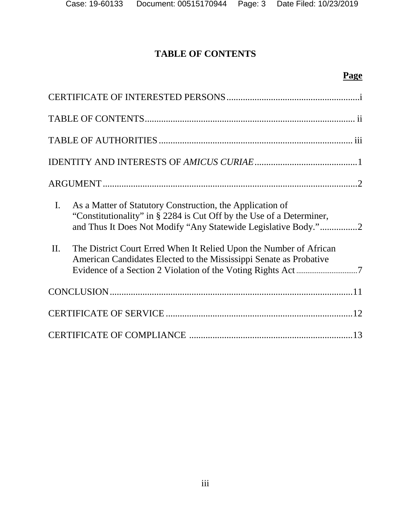# **TABLE OF CONTENTS**

# **Page**

| $\mathbf{I}$ .<br>As a Matter of Statutory Construction, the Application of<br>"Constitutionality" in § 2284 is Cut Off by the Use of a Determiner,<br>and Thus It Does Not Modify "Any Statewide Legislative Body."2<br>The District Court Erred When It Relied Upon the Number of African<br>II. |
|----------------------------------------------------------------------------------------------------------------------------------------------------------------------------------------------------------------------------------------------------------------------------------------------------|
| American Candidates Elected to the Mississippi Senate as Probative                                                                                                                                                                                                                                 |
|                                                                                                                                                                                                                                                                                                    |
|                                                                                                                                                                                                                                                                                                    |
|                                                                                                                                                                                                                                                                                                    |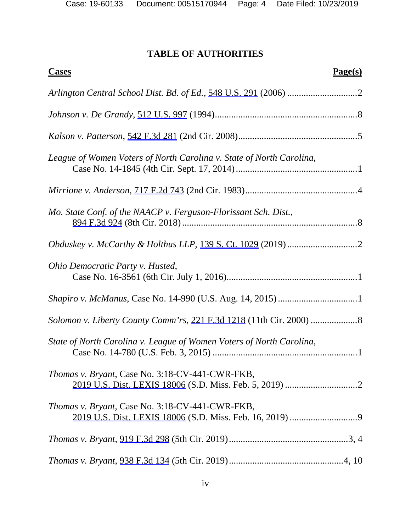## **TABLE OF AUTHORITIES**

| <b>Cases</b><br>Page(s)                                              |  |
|----------------------------------------------------------------------|--|
|                                                                      |  |
|                                                                      |  |
|                                                                      |  |
| League of Women Voters of North Carolina v. State of North Carolina, |  |
|                                                                      |  |
| Mo. State Conf. of the NAACP v. Ferguson-Florissant Sch. Dist.,      |  |
|                                                                      |  |
| Ohio Democratic Party v. Husted,                                     |  |
|                                                                      |  |
|                                                                      |  |
| State of North Carolina v. League of Women Voters of North Carolina, |  |
| <i>Thomas v. Bryant, Case No. 3:18-CV-441-CWR-FKB,</i>               |  |
| <i>Thomas v. Bryant, Case No. 3:18-CV-441-CWR-FKB,</i>               |  |
|                                                                      |  |
|                                                                      |  |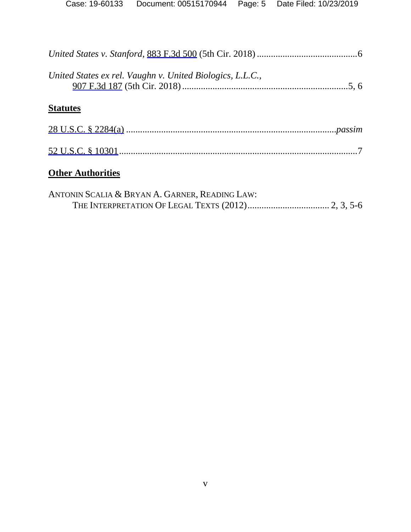| United States ex rel. Vaughn v. United Biologics, L.L.C., |  |
|-----------------------------------------------------------|--|
| <b>Statutes</b>                                           |  |
|                                                           |  |
|                                                           |  |
| <b>Other Authorities</b>                                  |  |
| $A = -1$                                                  |  |

| ANTONIN SCALIA & BRYAN A. GARNER, READING LAW: |  |  |
|------------------------------------------------|--|--|
|                                                |  |  |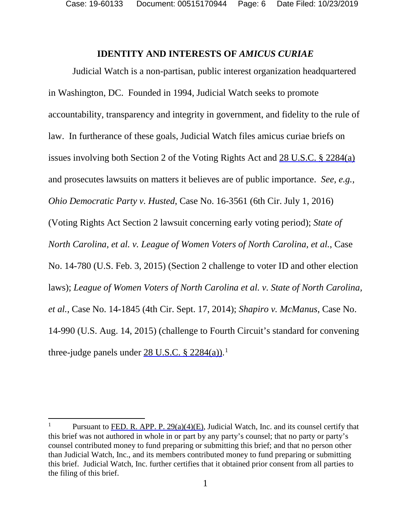#### **IDENTITY AND INTERESTS OF** *AMICUS CURIAE*

Judicial Watch is a non-partisan, public interest organization headquartered in Washington, DC. Founded in 1994, Judicial Watch seeks to promote accountability, transparency and integrity in government, and fidelity to the rule of law. In furtherance of these goals, Judicial Watch files amicus curiae briefs on issues involving both Section 2 of the Voting Rights Act and 28 U.S.C. § 2284(a) and prosecutes lawsuits on matters it believes are of public importance. *See, e.g., Ohio Democratic Party v. Husted*, Case No. 16-3561 (6th Cir. July 1, 2016) (Voting Rights Act Section 2 lawsuit concerning early voting period); *State of North Carolina, et al. v. League of Women Voters of North Carolina, et al.*, Case No. 14-780 (U.S. Feb. 3, 2015) (Section 2 challenge to voter ID and other election laws); *League of Women Voters of North Carolina et al. v. State of North Carolina, et al.*, Case No. 14-1845 (4th Cir. Sept. 17, 2014); *Shapiro v. McManus*, Case No. 14-990 (U.S. Aug. 14, 2015) (challenge to Fourth Circuit's standard for convening three-judge panels under  $28 \text{ U.S.C. }$  \$  $2284(a)$ .<sup>[1](#page-5-0)</sup>

 $\overline{\phantom{a}}$ 

<span id="page-5-0"></span>Pursuant to FED. R. APP. P. 29(a)(4)(E), Judicial Watch, Inc. and its counsel certify that this brief was not authored in whole in or part by any party's counsel; that no party or party's counsel contributed money to fund preparing or submitting this brief; and that no person other than Judicial Watch, Inc., and its members contributed money to fund preparing or submitting this brief. Judicial Watch, Inc. further certifies that it obtained prior consent from all parties to the filing of this brief.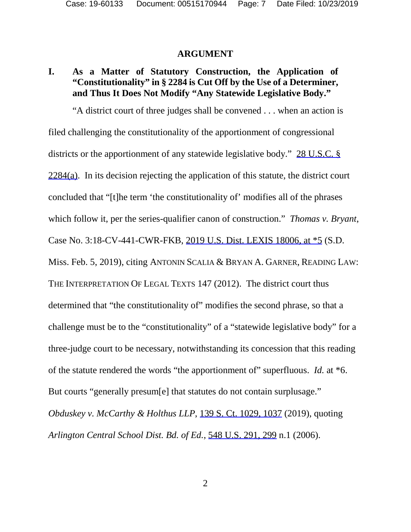#### **ARGUMENT**

## **I. As a Matter of Statutory Construction, the Application of "Constitutionality" in § 2284 is Cut Off by the Use of a Determiner, and Thus It Does Not Modify "Any Statewide Legislative Body."**

"A district court of three judges shall be convened . . . when an action is filed challenging the constitutionality of the apportionment of congressional districts or the apportionment of any statewide legislative body." 28 U.S.C. § 2284(a). In its decision rejecting the application of this statute, the district court concluded that "[t]he term 'the constitutionality of' modifies all of the phrases which follow it, per the series-qualifier canon of construction." *Thomas v. Bryant*, Case No. 3:18-CV-441-CWR-FKB, 2019 U.S. Dist. LEXIS 18006, at \*5 (S.D. Miss. Feb. 5, 2019), citing ANTONIN SCALIA & BRYAN A. GARNER, READING LAW: THE INTERPRETATION OF LEGAL TEXTS 147 (2012). The district court thus determined that "the constitutionality of" modifies the second phrase, so that a challenge must be to the "constitutionality" of a "statewide legislative body" for a three-judge court to be necessary, notwithstanding its concession that this reading of the statute rendered the words "the apportionment of" superfluous. *Id.* at \*6. But courts "generally presum[e] that statutes do not contain surplusage." *Obduskey v. McCarthy & Holthus LLP*, 139 S. Ct. 1029, 1037 (2019), quoting *Arlington Central School Dist. Bd. of Ed.*, 548 U.S. 291, 299 n.1 (2006).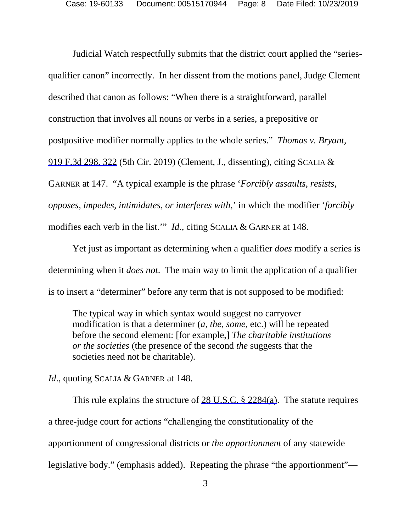Judicial Watch respectfully submits that the district court applied the "seriesqualifier canon" incorrectly. In her dissent from the motions panel, Judge Clement described that canon as follows: "When there is a straightforward, parallel construction that involves all nouns or verbs in a series, a prepositive or postpositive modifier normally applies to the whole series." *Thomas v. Bryant*, 919 F.3d 298, 322 (5th Cir. 2019) (Clement, J., dissenting), citing SCALIA & GARNER at 147. "A typical example is the phrase '*Forcibly assaults, resists, opposes, impedes, intimidates, or interferes with*,' in which the modifier '*forcibly* modifies each verb in the list.'" *Id.*, citing SCALIA & GARNER at 148.

Yet just as important as determining when a qualifier *does* modify a series is determining when it *does not*. The main way to limit the application of a qualifier is to insert a "determiner" before any term that is not supposed to be modified:

The typical way in which syntax would suggest no carryover modification is that a determiner (*a*, *the*, *some*, etc.) will be repeated before the second element: [for example,] *The charitable institutions or the societies* (the presence of the second *the* suggests that the societies need not be charitable).

*Id.*, quoting SCALIA & GARNER at 148.

This rule explains the structure of 28 U.S.C. § 2284(a). The statute requires a three-judge court for actions "challenging the constitutionality of the apportionment of congressional districts or *the apportionment* of any statewide legislative body." (emphasis added). Repeating the phrase "the apportionment"—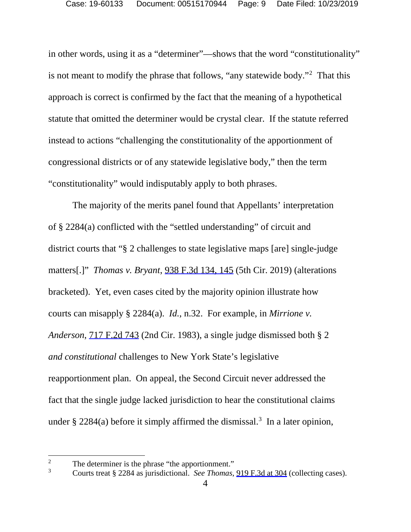in other words, using it as a "determiner"—shows that the word "constitutionality" is not meant to modify the phrase that follows, "any statewide body."<sup>[2](#page-8-0)</sup> That this approach is correct is confirmed by the fact that the meaning of a hypothetical statute that omitted the determiner would be crystal clear. If the statute referred instead to actions "challenging the constitutionality of the apportionment of congressional districts or of any statewide legislative body," then the term "constitutionality" would indisputably apply to both phrases.

The majority of the merits panel found that Appellants' interpretation of § 2284(a) conflicted with the "settled understanding" of circuit and district courts that "§ 2 challenges to state legislative maps [are] single-judge matters[.]" *Thomas v. Bryant*, 938 F.3d 134, 145 (5th Cir. 2019) (alterations bracketed). Yet, even cases cited by the majority opinion illustrate how courts can misapply § 2284(a). *Id.*, n.32. For example, in *Mirrione v. Anderson*, 717 F.2d 743 (2nd Cir. 1983), a single judge dismissed both § 2 *and constitutional* challenges to New York State's legislative reapportionment plan. On appeal, the Second Circuit never addressed the fact that the single judge lacked jurisdiction to hear the constitutional claims under  $\S 2284(a)$  before it simply affirmed the dismissal.<sup>[3](#page-8-1)</sup> In a later opinion,

<span id="page-8-0"></span> $\overline{2}$ <sup>2</sup> The determiner is the phrase "the apportionment."<br> $\frac{3}{2}$  Courts treat  $\frac{8}{2}$  2284 as invigibitional. See Thomas.

<span id="page-8-1"></span><sup>3</sup> Courts treat § 2284 as jurisdictional. *See Thomas*, 919 F.3d at 304 (collecting cases).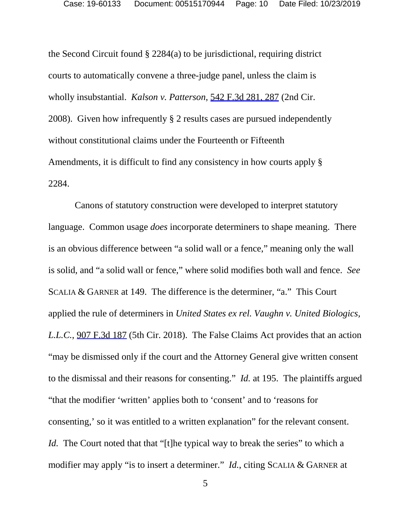the Second Circuit found § 2284(a) to be jurisdictional, requiring district courts to automatically convene a three-judge panel, unless the claim is wholly insubstantial. *Kalson v. Patterson*, 542 F.3d 281, 287 (2nd Cir. 2008). Given how infrequently § 2 results cases are pursued independently without constitutional claims under the Fourteenth or Fifteenth Amendments, it is difficult to find any consistency in how courts apply § 2284.

Canons of statutory construction were developed to interpret statutory language. Common usage *does* incorporate determiners to shape meaning. There is an obvious difference between "a solid wall or a fence," meaning only the wall is solid, and "a solid wall or fence," where solid modifies both wall and fence. *See*  SCALIA & GARNER at 149. The difference is the determiner, "a." This Court applied the rule of determiners in *United States ex rel. Vaughn v. United Biologics, L.L.C.*, 907 F.3d 187 (5th Cir. 2018). The False Claims Act provides that an action "may be dismissed only if the court and the Attorney General give written consent to the dismissal and their reasons for consenting." *Id.* at 195. The plaintiffs argued "that the modifier 'written' applies both to 'consent' and to 'reasons for consenting,' so it was entitled to a written explanation" for the relevant consent. *Id.* The Court noted that that "[t]he typical way to break the series" to which a modifier may apply "is to insert a determiner." *Id.*, citing SCALIA & GARNER at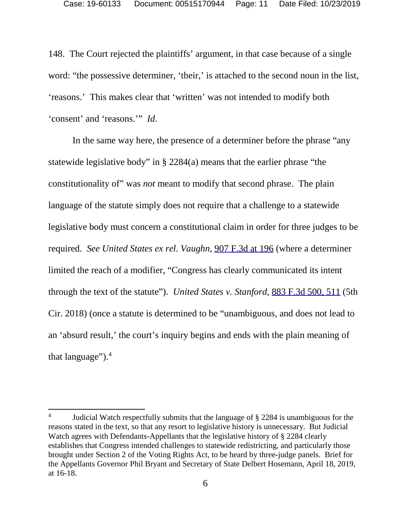148. The Court rejected the plaintiffs' argument, in that case because of a single word: "the possessive determiner, 'their,' is attached to the second noun in the list, 'reasons.' This makes clear that 'written' was not intended to modify both 'consent' and 'reasons.'" *Id.*

In the same way here, the presence of a determiner before the phrase "any statewide legislative body" in § 2284(a) means that the earlier phrase "the constitutionality of" was *not* meant to modify that second phrase. The plain language of the statute simply does not require that a challenge to a statewide legislative body must concern a constitutional claim in order for three judges to be required. *See United States ex rel. Vaughn*, 907 F.3d at 196 (where a determiner limited the reach of a modifier, "Congress has clearly communicated its intent through the text of the statute"). *United States v. Stanford*, 883 F.3d 500, 511 (5th Cir. 2018) (once a statute is determined to be "unambiguous, and does not lead to an 'absurd result,' the court's inquiry begins and ends with the plain meaning of that language" $)$ .<sup>[4](#page-10-0)</sup>

 $\overline{a}$ 

<span id="page-10-0"></span><sup>&</sup>lt;sup>4</sup> Judicial Watch respectfully submits that the language of  $\S$  2284 is unambiguous for the reasons stated in the text, so that any resort to legislative history is unnecessary. But Judicial Watch agrees with Defendants-Appellants that the legislative history of § 2284 clearly establishes that Congress intended challenges to statewide redistricting, and particularly those brought under Section 2 of the Voting Rights Act, to be heard by three-judge panels. Brief for the Appellants Governor Phil Bryant and Secretary of State Delbert Hosemann, April 18, 2019, at 16-18.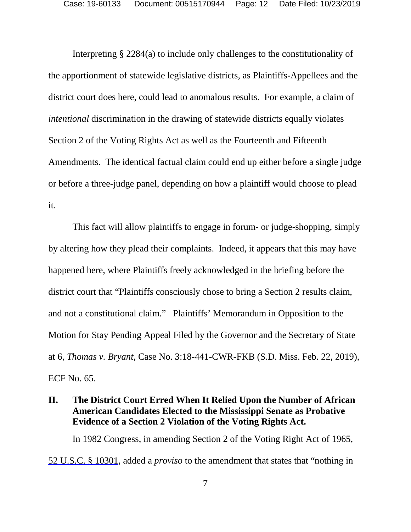Interpreting § 2284(a) to include only challenges to the constitutionality of the apportionment of statewide legislative districts, as Plaintiffs-Appellees and the district court does here, could lead to anomalous results. For example, a claim of *intentional* discrimination in the drawing of statewide districts equally violates Section 2 of the Voting Rights Act as well as the Fourteenth and Fifteenth Amendments. The identical factual claim could end up either before a single judge or before a three-judge panel, depending on how a plaintiff would choose to plead it.

This fact will allow plaintiffs to engage in forum- or judge-shopping, simply by altering how they plead their complaints. Indeed, it appears that this may have happened here, where Plaintiffs freely acknowledged in the briefing before the district court that "Plaintiffs consciously chose to bring a Section 2 results claim, and not a constitutional claim." Plaintiffs' Memorandum in Opposition to the Motion for Stay Pending Appeal Filed by the Governor and the Secretary of State at 6, *Thomas v. Bryant*, Case No. 3:18-441-CWR-FKB (S.D. Miss. Feb. 22, 2019), ECF No. 65.

## **II. The District Court Erred When It Relied Upon the Number of African American Candidates Elected to the Mississippi Senate as Probative Evidence of a Section 2 Violation of the Voting Rights Act.**

In 1982 Congress, in amending Section 2 of the Voting Right Act of 1965, 52 U.S.C. § 10301, added a *proviso* to the amendment that states that "nothing in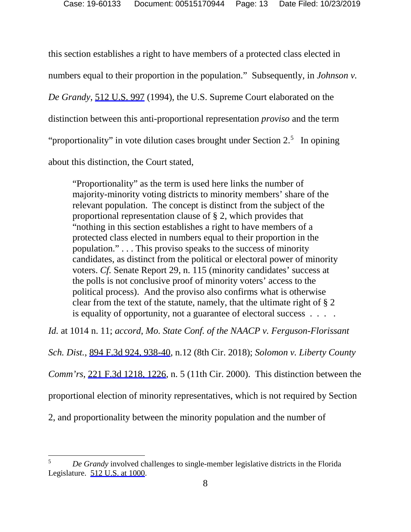this section establishes a right to have members of a protected class elected in numbers equal to their proportion in the population."Subsequently, in *Johnson v. De Grandy*, 512 U.S. 997 (1994), the U.S. Supreme Court elaborated on the distinction between this anti-proportional representation *proviso* and the term "proportionality" in vote dilution cases brought under Section  $2.5$  $2.5$  In opining about this distinction, the Court stated,

"Proportionality" as the term is used here links the number of majority-minority voting districts to minority members' share of the relevant population. The concept is distinct from the subject of the proportional representation clause of § 2, which provides that "nothing in this section establishes a right to have members of a protected class elected in numbers equal to their proportion in the population." . . . This proviso speaks to the success of minority candidates, as distinct from the political or electoral power of minority voters. *Cf.* Senate Report 29, n. 115 (minority candidates' success at the polls is not conclusive proof of minority voters' access to the political process). And the proviso also confirms what is otherwise clear from the text of the statute, namely, that the ultimate right of § 2 is equality of opportunity, not a guarantee of electoral success . . . .

*Id.* at 1014 n. 11; *accord*, *Mo. State Conf. of the NAACP v. Ferguson-Florissant* 

*Sch. Dist.*, 894 F.3d 924, 938-40, n.12 (8th Cir. 2018); *Solomon v. Liberty County* 

*Comm'rs*, 221 F.3d 1218, 1226, n. 5 (11th Cir. 2000). This distinction between the

proportional election of minority representatives, which is not required by Section

2, and proportionality between the minority population and the number of

<span id="page-12-0"></span> $\overline{a}$ <sup>5</sup> *De Grandy* involved challenges to single-member legislative districts in the Florida Legislature. 512 U.S. at 1000.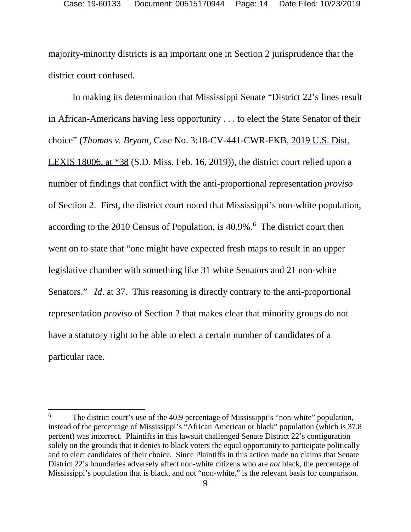majority-minority districts is an important one in Section 2 jurisprudence that the district court confused.

In making its determination that Mississippi Senate "District 22's lines result in African-Americans having less opportunity . . . to elect the State Senator of their choice" (*Thomas v. Bryant*, Case No. 3:18-CV-441-CWR-FKB, 2019 U.S. Dist. LEXIS 18006, at \*38 (S.D. Miss. Feb. 16, 2019)), the district court relied upon a number of findings that conflict with the anti-proportional representation *proviso* of Section 2. First, the district court noted that Mississippi's non-white population, according to the 2010 Census of Population, is 40.9%.<sup>[6](#page-13-0)</sup> The district court then went on to state that "one might have expected fresh maps to result in an upper legislative chamber with something like 31 white Senators and 21 non-white Senators." *Id.* at 37. This reasoning is directly contrary to the anti-proportional representation *proviso* of Section 2 that makes clear that minority groups do not have a statutory right to be able to elect a certain number of candidates of a particular race.

 $\overline{a}$ 

<span id="page-13-0"></span><sup>&</sup>lt;sup>6</sup> The district court's use of the 40.9 percentage of Mississippi's "non-white" population, instead of the percentage of Mississippi's "African American or black" population (which is 37.8 percent) was incorrect. Plaintiffs in this lawsuit challenged Senate District 22's configuration solely on the grounds that it denies to black voters the equal opportunity to participate politically and to elect candidates of their choice. Since Plaintiffs in this action made no claims that Senate District 22's boundaries adversely affect non-white citizens who are *not* black, the percentage of Mississippi's population that is black, and not "non-white," is the relevant basis for comparison.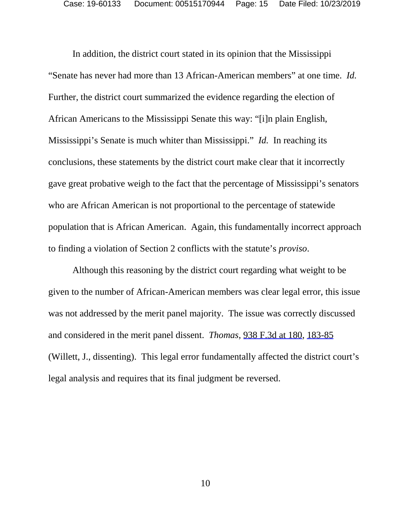In addition, the district court stated in its opinion that the Mississippi "Senate has never had more than 13 African-American members" at one time. *Id.*  Further, the district court summarized the evidence regarding the election of African Americans to the Mississippi Senate this way: "[i]n plain English, Mississippi's Senate is much whiter than Mississippi." *Id.* In reaching its conclusions, these statements by the district court make clear that it incorrectly gave great probative weigh to the fact that the percentage of Mississippi's senators who are African American is not proportional to the percentage of statewide population that is African American. Again, this fundamentally incorrect approach to finding a violation of Section 2 conflicts with the statute's *proviso*.

Although this reasoning by the district court regarding what weight to be given to the number of African-American members was clear legal error, this issue was not addressed by the merit panel majority. The issue was correctly discussed and considered in the merit panel dissent. *Thomas*, 938 F.3d at 180, 183-85 (Willett, J., dissenting). This legal error fundamentally affected the district court's legal analysis and requires that its final judgment be reversed.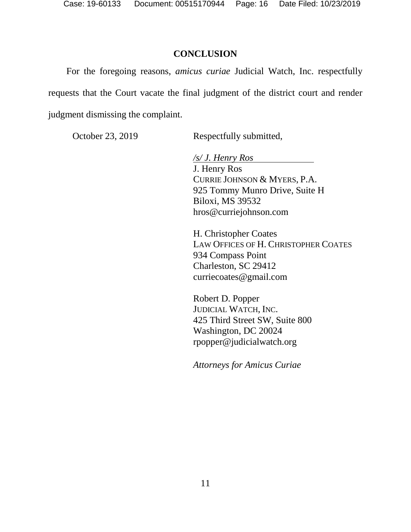#### **CONCLUSION**

For the foregoing reasons, *amicus curiae* Judicial Watch, Inc. respectfully requests that the Court vacate the final judgment of the district court and render judgment dismissing the complaint.

October 23, 2019 Respectfully submitted,

*/s/ J. Henry Ros*  J. Henry Ros CURRIE JOHNSON & MYERS, P.A. 925 Tommy Munro Drive, Suite H Biloxi, MS 39532 hros@curriejohnson.com

H. Christopher Coates LAW OFFICES OF H. CHRISTOPHER COATES 934 Compass Point Charleston, SC 29412 curriecoates@gmail.com

Robert D. Popper JUDICIAL WATCH, INC. 425 Third Street SW, Suite 800 Washington, DC 20024 rpopper@judicialwatch.org

*Attorneys for Amicus Curiae*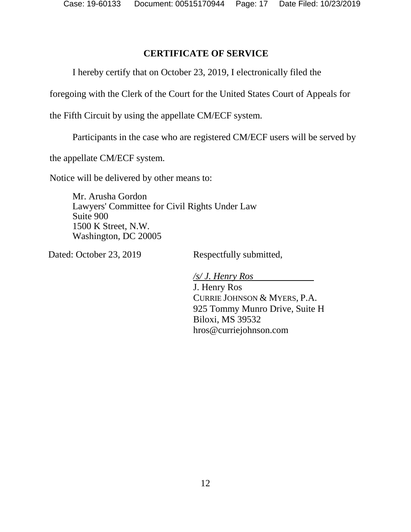## **CERTIFICATE OF SERVICE**

I hereby certify that on October 23, 2019, I electronically filed the

foregoing with the Clerk of the Court for the United States Court of Appeals for

the Fifth Circuit by using the appellate CM/ECF system.

Participants in the case who are registered CM/ECF users will be served by

the appellate CM/ECF system.

Notice will be delivered by other means to:

Mr. Arusha Gordon Lawyers' Committee for Civil Rights Under Law Suite 900 1500 K Street, N.W. Washington, DC 20005

Dated: October 23, 2019 Respectfully submitted,

*/s/ J. Henry Ros* 

J. Henry Ros CURRIE JOHNSON & MYERS, P.A. 925 Tommy Munro Drive, Suite H Biloxi, MS 39532 hros@curriejohnson.com